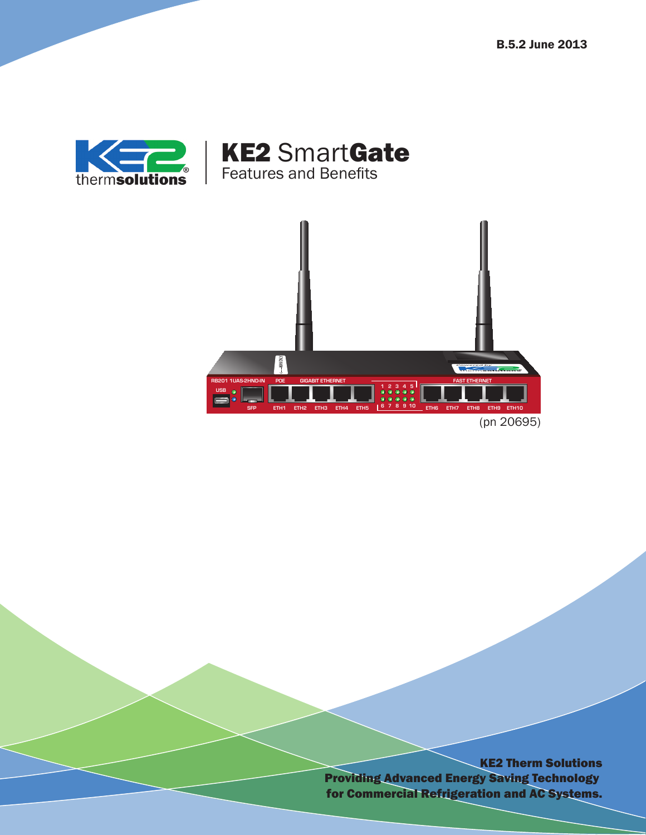



KE2 SmartGate

Features and Benefits

KE2 Therm Solutions Providing Advanced Energy Saving Technology for Commercial Refrigeration and AC Systems.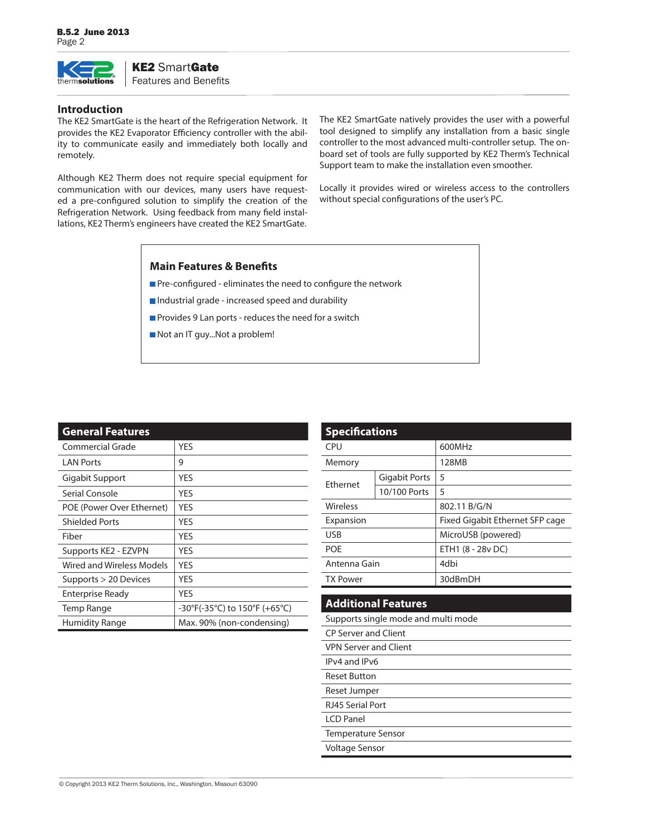

# KE2 SmartGate

Features and Benefits

#### **Introduction**

The KE2 SmartGate is the heart of the Refrigeration Network. It provides the KE2 Evaporator Efficiency controller with the ability to communicate easily and immediately both locally and remotely.

Although KE2 Therm does not require special equipment for communication with our devices, many users have requested a pre-configured solution to simplify the creation of the Refrigeration Network. Using feedback from many field installations, KE2 Therm's engineers have created the KE2 SmartGate.

The KE2 SmartGate natively provides the user with a powerful tool designed to simplify any installation from a basic single controller to the most advanced multi-controller setup. The onboard set of tools are fully supported by KE2 Therm's Technical Support team to make the installation even smoother.

Locally it provides wired or wireless access to the controllers without special configurations of the user's PC.

## **Main Features & Benefits**

- Pre-configured eliminates the need to configure the network
- Industrial grade increased speed and durability
- Provides 9 Lan ports reduces the need for a switch
- Not an IT guy...Not a problem!

| <b>General Features</b>   |                               |
|---------------------------|-------------------------------|
| Commercial Grade          | <b>YFS</b>                    |
| <b>LAN Ports</b>          | 9                             |
| Gigabit Support           | <b>YES</b>                    |
| Serial Console            | <b>YFS</b>                    |
| POE (Power Over Ethernet) | <b>YFS</b>                    |
| <b>Shielded Ports</b>     | <b>YFS</b>                    |
| Fiber                     | <b>YES</b>                    |
| Supports KE2 - EZVPN      | <b>YFS</b>                    |
| Wired and Wireless Models | <b>YES</b>                    |
| Supports > 20 Devices     | YES                           |
| <b>Enterprise Ready</b>   | <b>YFS</b>                    |
| Temp Range                | -30°F(-35°C) to 150°F (+65°C) |
| Humidity Range            | Max. 90% (non-condensing)     |

| <b>Specifications</b> |                      |                                 |
|-----------------------|----------------------|---------------------------------|
| CPU                   |                      | 600MHz                          |
| Memory                |                      | 128MB                           |
| <b>Fthernet</b>       | <b>Gigabit Ports</b> | 5                               |
|                       | 10/100 Ports         | 5                               |
| Wireless              |                      | 802.11 B/G/N                    |
| Expansion             |                      | Fixed Gigabit Ethernet SFP cage |
| <b>USB</b>            |                      | MicroUSB (powered)              |
| <b>POF</b>            |                      | ETH1 (8 - 28v DC)               |
| Antenna Gain          |                      | 4dbi                            |
| <b>TX Power</b>       |                      | 30dBmDH                         |
|                       |                      |                                 |

# **Additional Features**

Supports single mode and multi mode

- CP Server and Client VPN Server and Client
- IPv4 and IPv6
- Reset Button
- Reset Jumper
- 
- RJ45 Serial Port LCD Panel
- 
- Temperature Sensor
- Voltage Sensor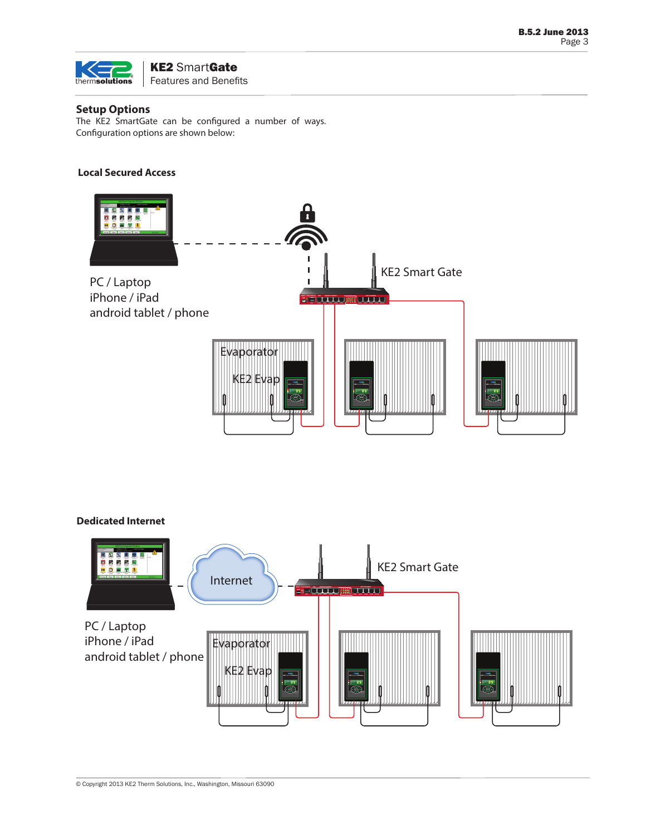

### KE2 SmartGate Features and Benefits

## **Setup Options**

The KE2 SmartGate can be configured a number of ways. Configuration options are shown below:

#### **Local Secured Access**



#### **Dedicated Internet**